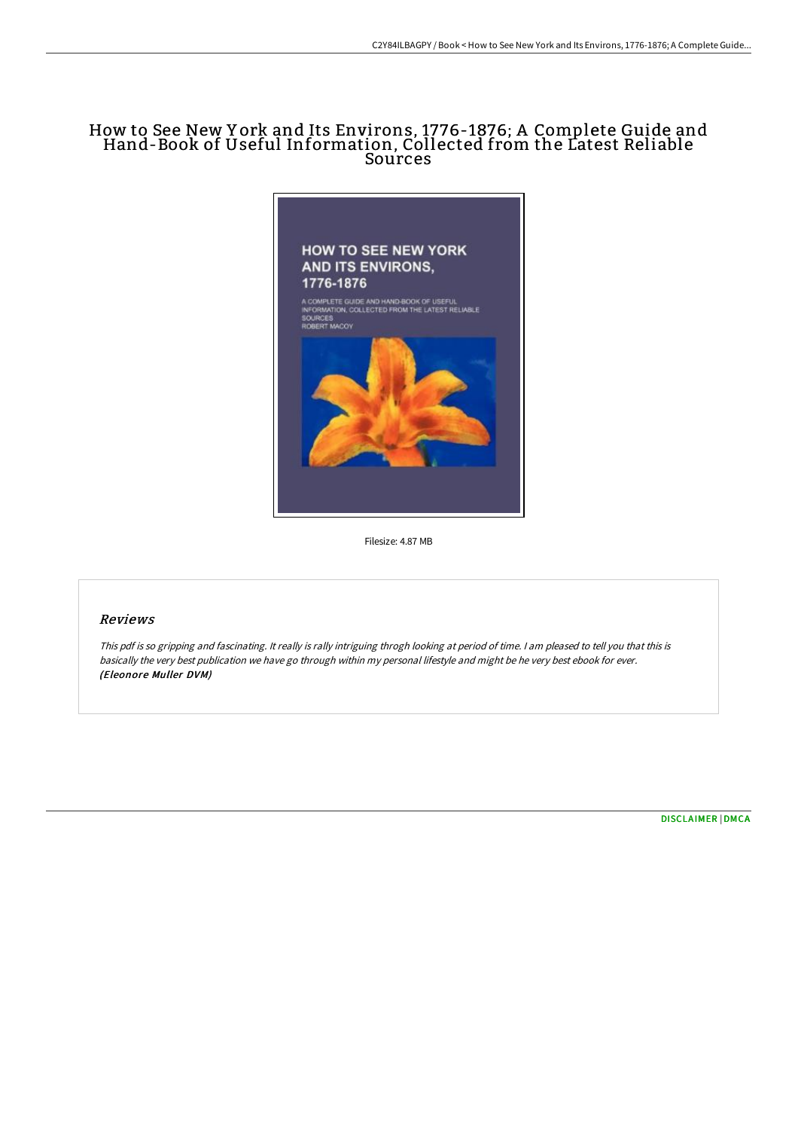# How to See New Y ork and Its Environs, 1776-1876; A Complete Guide and Hand-Book of Useful Information, Collected from the Latest Reliable **Sources**



Filesize: 4.87 MB

### Reviews

This pdf is so gripping and fascinating. It really is rally intriguing throgh looking at period of time. <sup>I</sup> am pleased to tell you that this is basically the very best publication we have go through within my personal lifestyle and might be he very best ebook for ever. (Eleonore Muller DVM)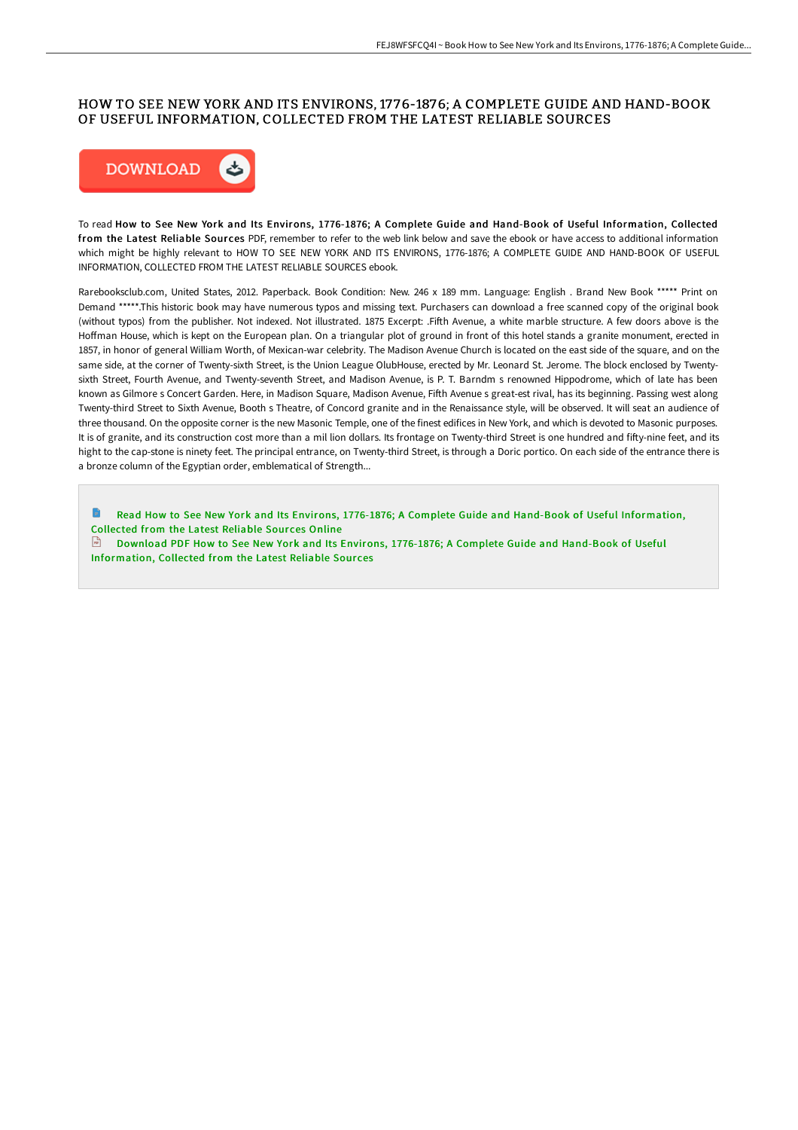### HOW TO SEE NEW YORK AND ITS ENVIRONS, 17 76-1876; A COMPLETE GUIDE AND HAND-BOOK OF USEFUL INFORMATION, COLLECTED FROM THE LATEST RELIABLE SOURCES



To read How to See New York and Its Environs, 1776-1876; A Complete Guide and Hand-Book of Useful Information, Collected from the Latest Reliable Sources PDF, remember to refer to the web link below and save the ebook or have access to additional information which might be highly relevant to HOW TO SEE NEW YORK AND ITS ENVIRONS, 1776-1876; A COMPLETE GUIDE AND HAND-BOOK OF USEFUL INFORMATION, COLLECTED FROM THE LATEST RELIABLE SOURCES ebook.

Rarebooksclub.com, United States, 2012. Paperback. Book Condition: New. 246 x 189 mm. Language: English . Brand New Book \*\*\*\*\* Print on Demand \*\*\*\*\*.This historic book may have numerous typos and missing text. Purchasers can download a free scanned copy of the original book (without typos) from the publisher. Not indexed. Not illustrated. 1875 Excerpt: Fifth Avenue, a white marble structure. A few doors above is the Hoffman House, which is kept on the European plan. On a triangular plot of ground in front of this hotel stands a granite monument, erected in 1857, in honor of general William Worth, of Mexican-war celebrity. The Madison Avenue Church is located on the east side of the square, and on the same side, at the corner of Twenty-sixth Street, is the Union League OlubHouse, erected by Mr. Leonard St. Jerome. The block enclosed by Twentysixth Street, Fourth Avenue, and Twenty-seventh Street, and Madison Avenue, is P. T. Barndm s renowned Hippodrome, which of late has been known as Gilmore s Concert Garden. Here, in Madison Square, Madison Avenue, FiGh Avenue s great-est rival, has its beginning. Passing west along Twenty-third Street to Sixth Avenue, Booth s Theatre, of Concord granite and in the Renaissance style, will be observed. It will seat an audience of three thousand. On the opposite corner is the new Masonic Temple, one of the finest edifices in New York, and which is devoted to Masonic purposes. It is of granite, and its construction cost more than a mil lion dollars. Its frontage on Twenty-third Street is one hundred and fifty-nine feet, and its hight to the cap-stone is ninety feet. The principal entrance, on Twenty-third Street, is through a Doric portico. On each side of the entrance there is a bronze column of the Egyptian order, emblematical of Strength...

Read How to See New York and Its Environs, 1776-1876; A Complete Guide and Hand-Book of Useful [Information,](http://www.bookdirs.com/how-to-see-new-york-and-its-environs-1776-1876-a.html) Collected from the Latest Reliable Sources Online Download PDF How to See New York and Its Environs, 1776-1876; A Complete Guide and Hand-Book of Useful [Information,](http://www.bookdirs.com/how-to-see-new-york-and-its-environs-1776-1876-a.html) Collected from the Latest Reliable Sour ces